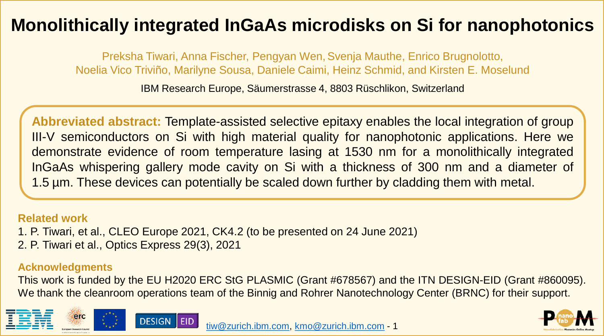# **Monolithically integrated InGaAs microdisks on Si for nanophotonics**

Preksha Tiwari, Anna Fischer, Pengyan Wen,Svenja Mauthe, Enrico Brugnolotto, Noelia Vico Triviño, Marilyne Sousa, Daniele Caimi, Heinz Schmid, and Kirsten E. Moselund

IBM Research Europe, Säumerstrasse 4, 8803 Rüschlikon, Switzerland

**Abbreviated abstract:** Template-assisted selective epitaxy enables the local integration of group III-V semiconductors on Si with high material quality for nanophotonic applications. Here we demonstrate evidence of room temperature lasing at 1530 nm for a monolithically integrated InGaAs whispering gallery mode cavity on Si with a thickness of 300 nm and a diameter of 1.5 µm. These devices can potentially be scaled down further by cladding them with metal.

#### **Related work**

- 1. P. Tiwari, et al., CLEO Europe 2021, CK4.2 (to be presented on 24 June 2021)
- 2. P. Tiwari et al., Optics Express 29(3), 2021

#### **Acknowledgments**

This work is funded by the EU H2020 ERC StG PLASMIC (Grant #678567) and the ITN DESIGN-EID (Grant #860095). We thank the cleanroom operations team of the Binnig and Rohrer Nanotechnology Center (BRNC) for their support.





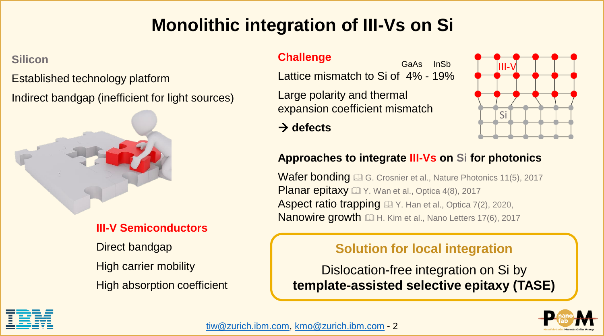# **Monolithic integration of III-Vs on Si**

#### **Silicon**

Established technology platform

Indirect bandgap (inefficient for light sources)



### **III-V Semiconductors**

Direct bandgap High carrier mobility High absorption coefficient

#### **Challenge**

Lattice mismatch to Si of 4% - 19% GaAs InSb

Large polarity and thermal expansion coefficient mismatch

→ **defects**



### **Approaches to integrate III-Vs on Si for photonics**

**Wafer bonding C.** G. Crosnier et al., Nature Photonics 11(5), 2017 **Planar epitaxy AV. Wan et al., Optica 4(8), 2017** Aspect ratio trapping **EX** Y. Han et al., Optica 7(2), 2020, Nanowire growth **EM** H. Kim et al., Nano Letters 17(6), 2017

### **Solution for local integration**

Dislocation-free integration on Si by **template-assisted selective epitaxy (TASE)**



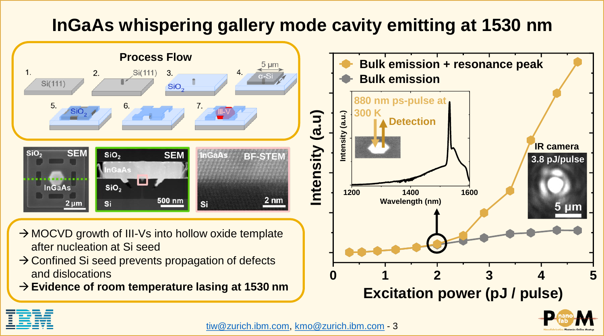# **InGaAs whispering gallery mode cavity emitting at 1530 nm**